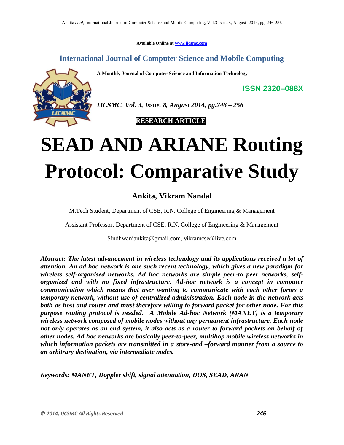**Available Online at www.ijcsmc.com**

**International Journal of Computer Science and Mobile Computing**

**A Monthly Journal of Computer Science and Information Technology**



*IJCSMC, Vol. 3, Issue. 8, August 2014, pg.246 – 256*

 **RESEARCH ARTICLE**

# **SEAD AND ARIANE Routing Protocol: Comparative Study**

# **Ankita, Vikram Nandal**

M.Tech Student, Department of CSE, R.N. College of Engineering & Management

Assistant Professor, Department of CSE, R.N. College of Engineering & Management

Sindhwaniankita@gmail.com, vikramcse@live.com

*Abstract: The latest advancement in wireless technology and its applications received a lot of attention. An ad hoc network is one such recent technology, which gives a new paradigm for wireless self-organised networks. Ad hoc networks are simple peer-to peer networks, selforganized and with no fixed infrastructure. Ad-hoc network is a concept in computer communication which means that user wanting to communicate with each other forms a temporary network, without use of centralized administration. Each node in the network acts both as host and router and must therefore willing to forward packet for other node. For this purpose routing protocol is needed. A Mobile Ad-hoc Network (MANET) is a temporary wireless network composed of mobile nodes without any permanent infrastructure. Each node not only operates as an end system, it also acts as a router to forward packets on behalf of other nodes. Ad hoc networks are basically peer-to-peer, multihop mobile wireless networks in which information packets are transmitted in a store-and –forward manner from a source to an arbitrary destination, via intermediate nodes.*

*Keywords: MANET, Doppler shift, signal attenuation, DOS, SEAD, ARAN*

**ISSN 2320–088X**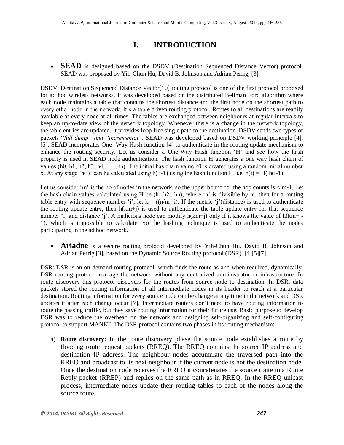# **I. INTRODUCTION**

• **SEAD** is designed based on the DSDV (Destination Sequenced Distance Vector) protocol. SEAD was proposed by Yih-Chun Hu, David B. Johnson and Adrian Perrig, [3].

DSDV: Destination Sequenced Distance Vector[10] routing protocol is one of the first protocol proposed for ad hoc wireless networks. It was developed based on the distributed Bellman Ford algorithm where each node maintains a table that contains the shortest distance and the first node on the shortest path to every other node in the network. It's a table driven routing protocol. Routes to all destinations are readily available at every node at all times. The tables are exchanged between neighbours at regular intervals to keep an up-to-date view of the network topology. Whenever there is a change in the network topology, the table entries are updated. It provides loop free single path to the destination. DSDV sends two types of packets "*full dump" and "incremental"*. SEAD was developed based on DSDV working principle [4], [5]. SEAD incorporates One- Way Hash function [4] to authenticate in the routing update mechanism to enhance the routing security. Let us consider a One-Way Hash function 'H' and see how the hash property is used in SEAD node authentication. The hash function H generates a one way hash chain of values (h0, h1, h2, h3, h4,..…..hn). The initial has chain value h0 is created using a random initial number x. At any stage 'h(i)' can be calculated using h( i-1) using the hash function H. i.e. h(i) = H( h(i-1).

Let us consider 'm' is the no of nodes in the network, so the upper bound for the hop counts is  $\lt$  m-1. Let the hash chain values calculated using H be (h1,h2...hn), where 'n' is divisible by m, then for a routing table entry with sequence number 'i', let  $k = ((n/m)-i)$ . If the metric 'j'(distance) is used to authenticate the routing update entry, then h(km+j) is used to authenticate the table update entry for that sequence number 'i' and distance 'j'. A malicious node can modify h(km+j) only if it knows the value of h(km+j-1), which is impossible to calculate. So the hashing technique is used to authenticate the nodes participating in the ad hoc network.

 **Ariadne** is a secure routing protocol developed by Yih-Chun Hu, David B. Johnson and Adrian Perrig [3], based on the Dynamic Source Routing protocol (DSR). [4][5][7].

DSR: DSR is an on-demand routing protocol, which finds the route as and when required, dynamically. DSR routing protocol manage the network without any centralized administrator or infrastructure. In route discovery this protocol discovers for the routes from source node to destination. In DSR, data packets stored the routing information of all intermediate nodes in its header to reach at a particular destination. Routing information for every source node can be change at any time in the network and DSR updates it after each change occur [7]. Intermediate routers don´t need to have routing information to route the passing traffic, but they save routing information for their future use. Basic purpose to develop DSR was to reduce the overhead on the network and designing self-organizing and self-configuring protocol to support MANET. The DSR protocol contains two phases in its routing mechanism:

a) **Route discovery:** In the route discovery phase the source node establishes a route by flooding route request packets (RREQ). The RREQ contains the source IP address and destination IP address. The neighbour nodes accumulate the traversed path into the RREQ and broadcast to its next neighbour if the current node is not the destination node. Once the destination node receives the RREQ it concatenates the source route in a Route Reply packet (RREP) and replies on the same path as in RREQ. In the RREQ unicast process, intermediate nodes update their routing tables to each of the nodes along the source route.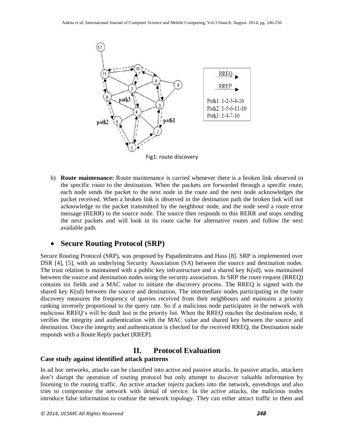

b) **Route maintenance:** Route maintenance is carried whenever there is a broken link observed in the specific route to the destination. When the packets are forwarded through a specific route, each node sends the packet to the next node in the route and the next node acknowledges the packet received. When a broken link is observed in the destination path the broken link will not acknowledge to the packet transmitted by the neighbour node, and the node send a route error message (RERR) to the source node. The source then responds to this RERR and stops sending the next packets and will look in its route cache for alternative routes and follow the next available path.

# **Secure Routing Protocol (SRP)**

Secure Routing Protocol (SRP), was proposed by Papadimitratos and Hass [8]. SRP is implemented over DSR [4], [5], with an underlying Security Association (SA) between the source and destination nodes. The trust relation is maintained with a public key infrastructure and a shared key K(sd), was maintained between the source and destination nodes using the security association. In SRP the route request (RREQ) contains six fields and a MAC value to initiate the discovery process. The RREQ is signed with the shared key K(sd) between the source and destination. The intermediate nodes participating in the route discovery measures the frequency of queries received from their neighbours and maintains a priority ranking inversely proportional to the query rate. So if a malicious node participates in the network with malicious RREQ's will be dealt last in the priority list. When the RREQ reaches the destination node, it verifies the integrity and authentication with the MAC value and shared key between the source and destination. Once the integrity and authentication is checked for the received RREQ, the Destination node responds with a Route Reply packet (RREP).

### **II. Protocol Evaluation**

### **Case study against identified attack patterns**

In ad hoc networks, attacks can be classified into active and passive attacks. In passive attacks, attackers don't disrupt the operation of routing protocol but only attempt to discover valuable information by listening to the routing traffic. An active attacker injects packets into the network, eavesdrops and also tries to compromise the network with denial of service. In the active attacks, the malicious nodes introduce false information to confuse the network topology. They can either attract traffic to them and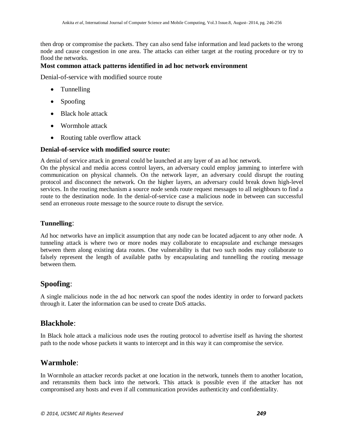then drop or compromise the packets. They can also send false information and lead packets to the wrong node and cause congestion in one area. The attacks can either target at the routing procedure or try to flood the networks.

### **Most common attack patterns identified in ad hoc network environment**

Denial-of-service with modified source route

- Tunnelling
- Spoofing
- Black hole attack
- Wormhole attack
- Routing table overflow attack

### **Denial-of-service with modified source route:**

A denial of service attack in general could be launched at any layer of an ad hoc network.

On the physical and media access control layers, an adversary could employ jamming to interfere with communication on physical channels. On the network layer, an adversary could disrupt the routing protocol and disconnect the network. On the higher layers, an adversary could break down high-level services. In the routing mechanism a source node sends route request messages to all neighbours to find a route to the destination node. In the denial-of-service case a malicious node in between can successful send an erroneous route message to the source route to disrupt the service.

### **Tunnelling**:

Ad hoc networks have an implicit assumption that any node can be located adjacent to any other node. A tunnelin*g* attack is where two or more nodes may collaborate to encapsulate and exchange messages between them along existing data routes. One vulnerability is that two such nodes may collaborate to falsely represent the length of available paths by encapsulating and tunnelling the routing message between them.

# **Spoofing**:

A single malicious node in the ad hoc network can spoof the nodes identity in order to forward packets through it. Later the information can be used to create DoS attacks.

### **Blackhole**:

In Black hole attack a malicious node uses the routing protocol to advertise itself as having the shortest path to the node whose packets it wants to intercept and in this way it can compromise the service.

# **Warmhole**:

In Wormhole an attacker records packet at one location in the network, tunnels them to another location, and retransmits them back into the network. This attack is possible even if the attacker has not compromised any hosts and even if all communication provides authenticity and confidentiality.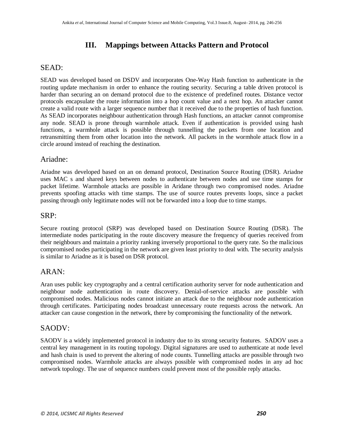# **III. Mappings between Attacks Pattern and Protocol**

# SEAD:

SEAD was developed based on DSDV and incorporates One-Way Hash function to authenticate in the routing update mechanism in order to enhance the routing security. Securing a table driven protocol is harder than securing an on demand protocol due to the existence of predefined routes. Distance vector protocols encapsulate the route information into a hop count value and a next hop. An attacker cannot create a valid route with a larger sequence number that it received due to the properties of hash function. As SEAD incorporates neighbour authentication through Hash functions, an attacker cannot compromise any node. SEAD is prone through warmhole attack. Even if authentication is provided using hash functions, a warmhole attack is possible through tunnelling the packets from one location and retransmitting them from other location into the network. All packets in the wormhole attack flow in a circle around instead of reaching the destination.

### Ariadne:

Ariadne was developed based on an on demand protocol, Destination Source Routing (DSR). Ariadne uses MAC s and shared keys between nodes to authenticate between nodes and use time stamps for packet lifetime. Warmhole attacks are possible in Aridane through two compromised nodes. Ariadne prevents spoofing attacks with time stamps. The use of source routes prevents loops, since a packet passing through only legitimate nodes will not be forwarded into a loop due to time stamps.

### SRP:

Secure routing protocol (SRP) was developed based on Destination Source Routing (DSR). The intermediate nodes participating in the route discovery measure the frequency of queries received from their neighbours and maintain a priority ranking inversely proportional to the query rate. So the malicious compromised nodes participating in the network are given least priority to deal with. The security analysis is similar to Ariadne as it is based on DSR protocol.

### ARAN:

Aran uses public key cryptography and a central certification authority server for node authentication and neighbour node authentication in route discovery. Denial-of-service attacks are possible with compromised nodes. Malicious nodes cannot initiate an attack due to the neighbour node authentication through certificates. Participating nodes broadcast unnecessary route requests across the network. An attacker can cause congestion in the network, there by compromising the functionality of the network.

### SAODV:

SAODV is a widely implemented protocol in industry due to its strong security features. SADOV uses a central key management in its routing topology. Digital signatures are used to authenticate at node level and hash chain is used to prevent the altering of node counts. Tunnelling attacks are possible through two compromised nodes. Warmhole attacks are always possible with compromised nodes in any ad hoc network topology. The use of sequence numbers could prevent most of the possible reply attacks.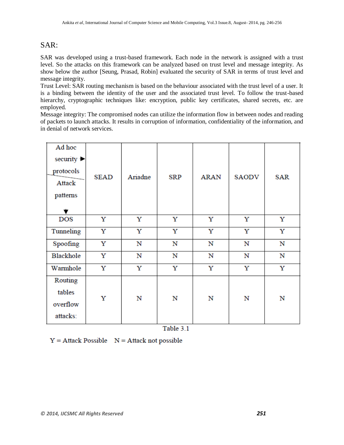# SAR:

SAR was developed using a trust-based framework. Each node in the network is assigned with a trust level. So the attacks on this framework can be analyzed based on trust level and message integrity. As show below the author [Seung, Prasad, Robin] evaluated the security of SAR in terms of trust level and message integrity.

Trust Level: SAR routing mechanism is based on the behaviour associated with the trust level of a user. It is a binding between the identity of the user and the associated trust level. To follow the trust-based hierarchy, cryptographic techniques like: encryption, public key certificates, shared secrets, etc. are employed.

Message integrity: The compromised nodes can utilize the information flow in between nodes and reading of packets to launch attacks. It results in corruption of information, confidentiality of the information, and in denial of network services.

| Ad hoc<br>security $\blacktriangleright$<br>protocols<br>Attack<br>patterns<br>▼ | <b>SEAD</b> | Ariadne     | <b>SRP</b> | <b>ARAN</b> | <b>SAODV</b> | <b>SAR</b> |
|----------------------------------------------------------------------------------|-------------|-------------|------------|-------------|--------------|------------|
| <b>DOS</b>                                                                       | Y           | Y           | Y          | Y           | Y            | Y          |
| Tunneling                                                                        | Y           | Y           | Y          | Y           | Y            | Y          |
| Spoofing                                                                         | Y           | $\mathbf N$ | N          | N           | N            | N          |
| Blackhole                                                                        | Y           | N           | N          | N           | N            | N          |
| Warmhole                                                                         | Y           | Y           | Y          | Y           | Y            | Y          |
| Routing<br>tables<br>overflow<br>attacks:                                        | Y           | N           | N          | N           | N            | N          |

Table 3.1

 $Y =$  Attack Possible  $N =$  Attack not possible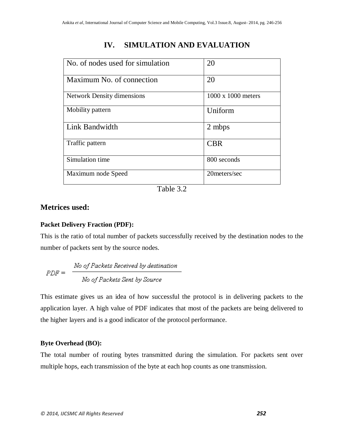# No. of nodes used for simulation 20 Maximum No. of connection 20 Network Density dimensions 1000 x 1000 meters Mobility pattern  $|$  Uniform Link Bandwidth 2 mbps Traffic pattern  $\vert$  CBR Simulation time 800 seconds Maximum node Speed 20meters/sec

# **IV. SIMULATION AND EVALUATION**

Table 3.2

### **Metrices used:**

### **Packet Delivery Fraction (PDF):**

This is the ratio of total number of packets successfully received by the destination nodes to the number of packets sent by the source nodes.

$$
PDF = \frac{No \text{ of Packets Received by destination}}{No \text{ of Packets Sent by Source}}
$$

This estimate gives us an idea of how successful the protocol is in delivering packets to the application layer. A high value of PDF indicates that most of the packets are being delivered to the higher layers and is a good indicator of the protocol performance.

### **Byte Overhead (BO):**

The total number of routing bytes transmitted during the simulation. For packets sent over multiple hops, each transmission of the byte at each hop counts as one transmission.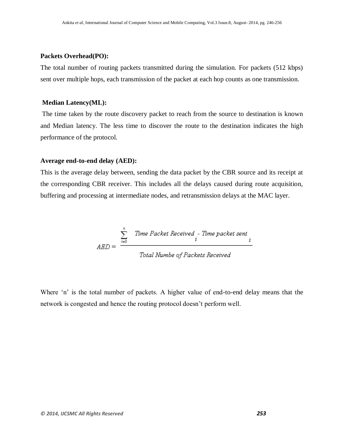### **Packets Overhead(PO):**

The total number of routing packets transmitted during the simulation. For packets (512 kbps) sent over multiple hops, each transmission of the packet at each hop counts as one transmission.

### **Median Latency(ML):**

The time taken by the route discovery packet to reach from the source to destination is known and Median latency. The less time to discover the route to the destination indicates the high performance of the protocol.

### **Average end-to-end delay (AED):**

This is the average delay between, sending the data packet by the CBR source and its receipt at the corresponding CBR receiver. This includes all the delays caused during route acquisition, buffering and processing at intermediate nodes, and retransmission delays at the MAC layer.

$$
AED = \frac{\sum_{i=0}^{n} \quad Time \; Packet \; Received \; i}{Total \; Number \; of \; Packets \; Received}
$$

Where 'n' is the total number of packets. A higher value of end-to-end delay means that the network is congested and hence the routing protocol doesn't perform well.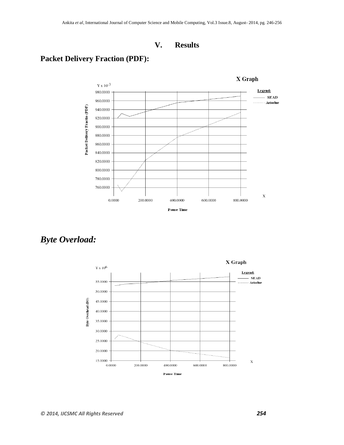# **V. Results**

# **Packet Delivery Fraction (PDF):**



*Byte Overload:*

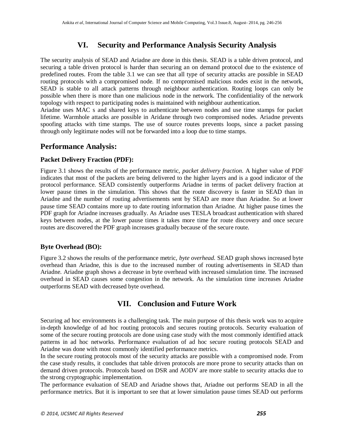# **VI. Security and Performance Analysis Security Analysis**

The security analysis of SEAD and Ariadne are done in this thesis. SEAD is a table driven protocol, and securing a table driven protocol is harder than securing an on demand protocol due to the existence of predefined routes. From the table 3.1 we can see that all type of security attacks are possible in SEAD routing protocols with a compromised node. If no compromised malicious nodes exist in the network, SEAD is stable to all attack patterns through neighbour authentication. Routing loops can only be possible when there is more than one malicious node in the network. The confidentiality of the network topology with respect to participating nodes is maintained with neighbour authentication.

Ariadne uses MAC s and shared keys to authenticate between nodes and use time stamps for packet lifetime. Warmhole attacks are possible in Aridane through two compromised nodes. Ariadne prevents spoofing attacks with time stamps. The use of source routes prevents loops, since a packet passing through only legitimate nodes will not be forwarded into a loop due to time stamps.

### **Performance Analysis:**

### **Packet Delivery Fraction (PDF):**

Figure 3.1 shows the results of the performance metric, *packet delivery fraction*. A higher value of PDF indicates that most of the packets are being delivered to the higher layers and is a good indicator of the protocol performance. SEAD consistently outperforms Ariadne in terms of packet delivery fraction at lower pause times in the simulation. This shows that the route discovery is faster in SEAD than in Ariadne and the number of routing advertisements sent by SEAD are more than Ariadne. So at lower pause time SEAD contains more up to date routing information than Ariadne. At higher pause times the PDF graph for Ariadne increases gradually. As Ariadne uses TESLA broadcast authentication with shared keys between nodes, at the lower pause times it takes more time for route discovery and once secure routes are discovered the PDF graph increases gradually because of the secure route.

### **Byte Overhead (BO):**

Figure 3.2 shows the results of the performance metric, *byte overhead.* SEAD graph shows increased byte overhead than Ariadne, this is due to the increased number of routing advertisements in SEAD than Ariadne. Ariadne graph shows a decrease in byte overhead with increased simulation time. The increased overhead in SEAD causes some congestion in the network. As the simulation time increases Ariadne outperforms SEAD with decreased byte overhead.

# **VII. Conclusion and Future Work**

Securing ad hoc environments is a challenging task. The main purpose of this thesis work was to acquire in-depth knowledge of ad hoc routing protocols and secures routing protocols. Security evaluation of some of the secure routing protocols are done using case study with the most commonly identified attack patterns in ad hoc networks. Performance evaluation of ad hoc secure routing protocols SEAD and Ariadne was done with most commonly identified performance metrics.

In the secure routing protocols most of the security attacks are possible with a compromised node. From the case study results, it concludes that table driven protocols are more prone to security attacks than on demand driven protocols. Protocols based on DSR and AODV are more stable to security attacks due to the strong cryptographic implementation.

The performance evaluation of SEAD and Ariadne shows that, Ariadne out performs SEAD in all the performance metrics. But it is important to see that at lower simulation pause times SEAD out performs